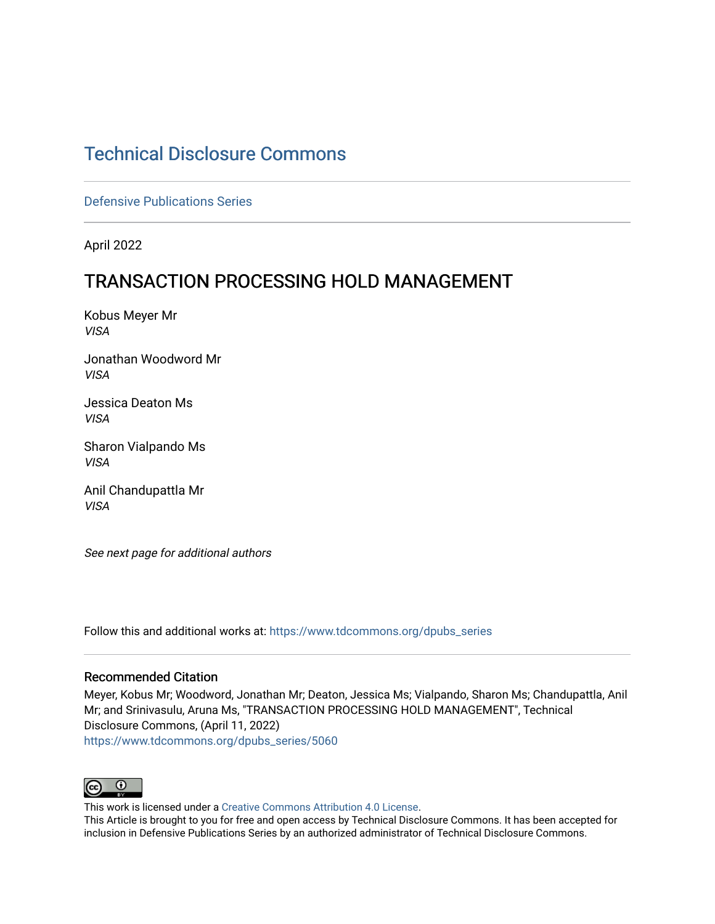# [Technical Disclosure Commons](https://www.tdcommons.org/)

[Defensive Publications Series](https://www.tdcommons.org/dpubs_series)

April 2022

# TRANSACTION PROCESSING HOLD MANAGEMENT

Kobus Meyer Mr VISA

Jonathan Woodword Mr VISA

Jessica Deaton Ms VISA

Sharon Vialpando Ms VISA

Anil Chandupattla Mr VISA

See next page for additional authors

Follow this and additional works at: [https://www.tdcommons.org/dpubs\\_series](https://www.tdcommons.org/dpubs_series?utm_source=www.tdcommons.org%2Fdpubs_series%2F5060&utm_medium=PDF&utm_campaign=PDFCoverPages) 

### Recommended Citation

Meyer, Kobus Mr; Woodword, Jonathan Mr; Deaton, Jessica Ms; Vialpando, Sharon Ms; Chandupattla, Anil Mr; and Srinivasulu, Aruna Ms, "TRANSACTION PROCESSING HOLD MANAGEMENT", Technical Disclosure Commons, (April 11, 2022) [https://www.tdcommons.org/dpubs\\_series/5060](https://www.tdcommons.org/dpubs_series/5060?utm_source=www.tdcommons.org%2Fdpubs_series%2F5060&utm_medium=PDF&utm_campaign=PDFCoverPages)



This work is licensed under a [Creative Commons Attribution 4.0 License](http://creativecommons.org/licenses/by/4.0/deed.en_US).

This Article is brought to you for free and open access by Technical Disclosure Commons. It has been accepted for inclusion in Defensive Publications Series by an authorized administrator of Technical Disclosure Commons.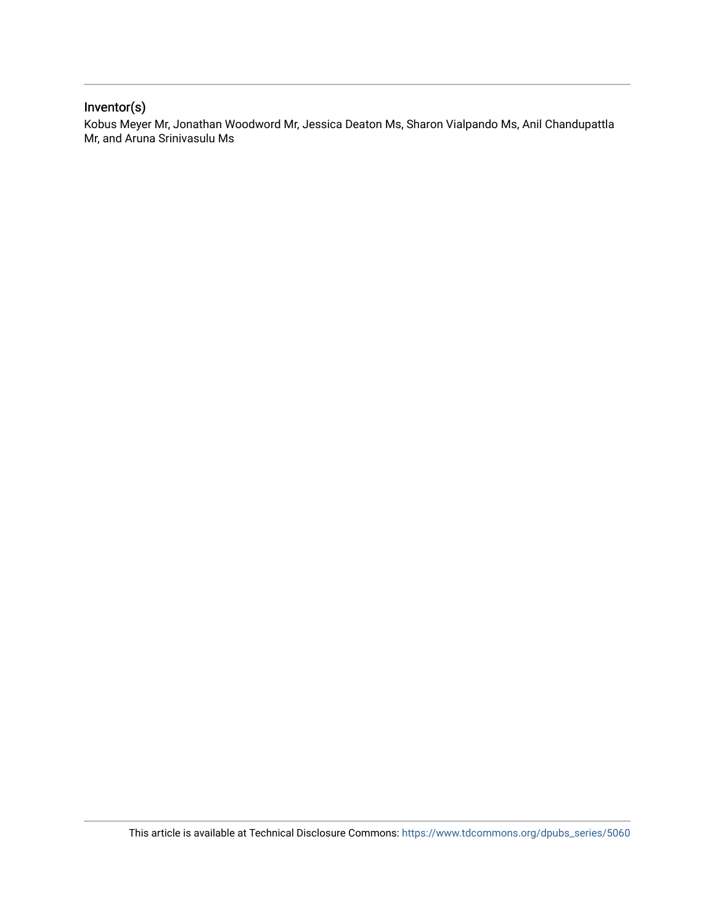## Inventor(s)

Kobus Meyer Mr, Jonathan Woodword Mr, Jessica Deaton Ms, Sharon Vialpando Ms, Anil Chandupattla Mr, and Aruna Srinivasulu Ms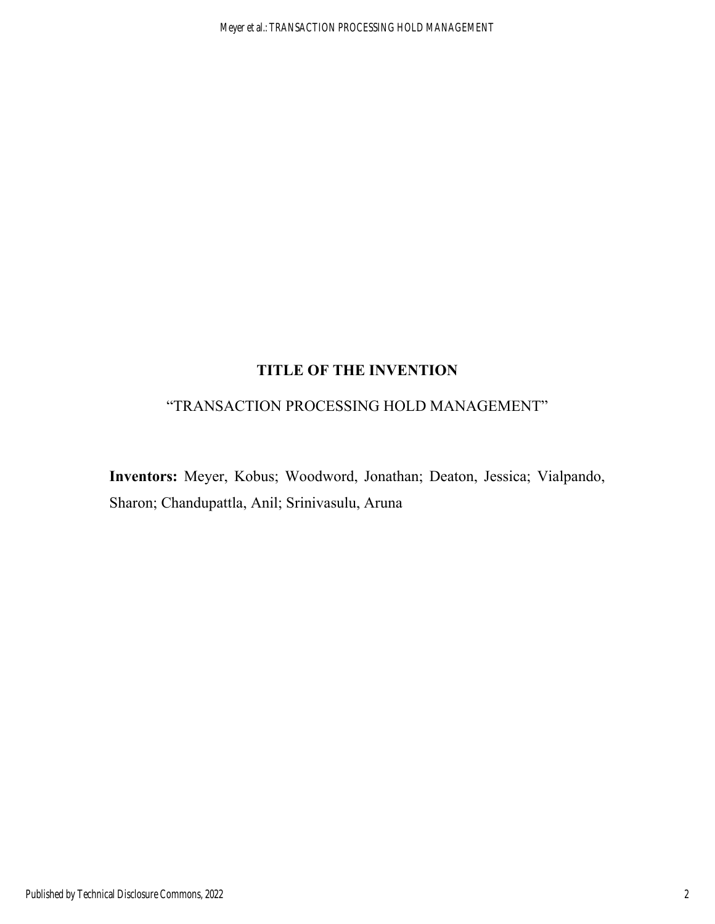# **TITLE OF THE INVENTION**

## "TRANSACTION PROCESSING HOLD MANAGEMENT"

**Inventors:** Meyer, Kobus; Woodword, Jonathan; Deaton, Jessica; Vialpando, Sharon; Chandupattla, Anil; Srinivasulu, Aruna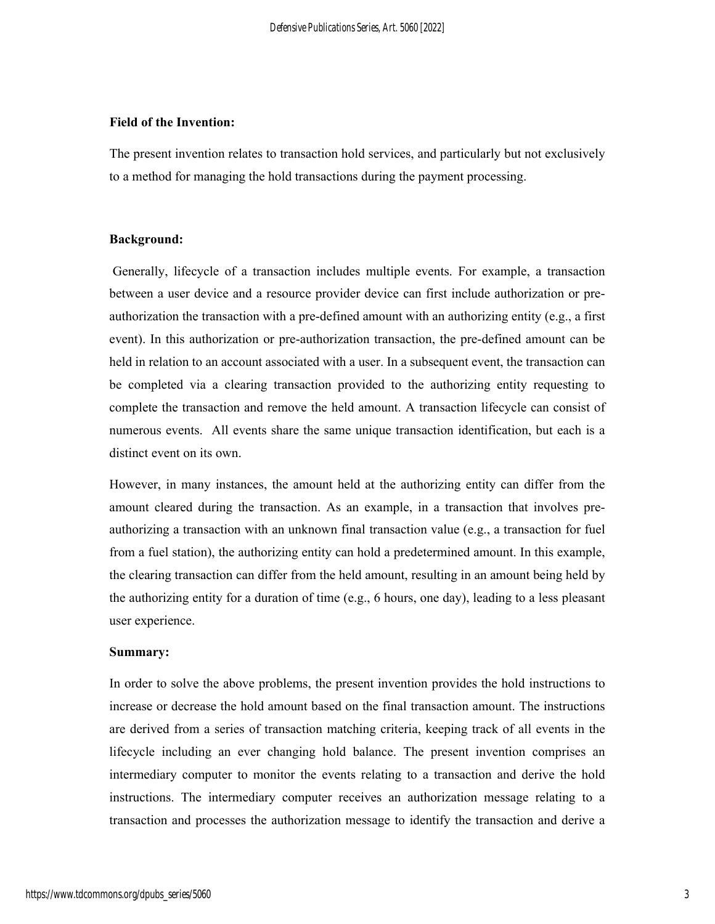#### **Field of the Invention:**

The present invention relates to transaction hold services, and particularly but not exclusively to a method for managing the hold transactions during the payment processing.

#### **Background:**

 Generally, lifecycle of a transaction includes multiple events. For example, a transaction between a user device and a resource provider device can first include authorization or preauthorization the transaction with a pre-defined amount with an authorizing entity (e.g., a first event). In this authorization or pre-authorization transaction, the pre-defined amount can be held in relation to an account associated with a user. In a subsequent event, the transaction can be completed via a clearing transaction provided to the authorizing entity requesting to complete the transaction and remove the held amount. A transaction lifecycle can consist of numerous events. All events share the same unique transaction identification, but each is a distinct event on its own.

However, in many instances, the amount held at the authorizing entity can differ from the amount cleared during the transaction. As an example, in a transaction that involves preauthorizing a transaction with an unknown final transaction value (e.g., a transaction for fuel from a fuel station), the authorizing entity can hold a predetermined amount. In this example, the clearing transaction can differ from the held amount, resulting in an amount being held by the authorizing entity for a duration of time (e.g., 6 hours, one day), leading to a less pleasant user experience.

#### **Summary:**

In order to solve the above problems, the present invention provides the hold instructions to increase or decrease the hold amount based on the final transaction amount. The instructions are derived from a series of transaction matching criteria, keeping track of all events in the lifecycle including an ever changing hold balance. The present invention comprises an intermediary computer to monitor the events relating to a transaction and derive the hold instructions. The intermediary computer receives an authorization message relating to a transaction and processes the authorization message to identify the transaction and derive a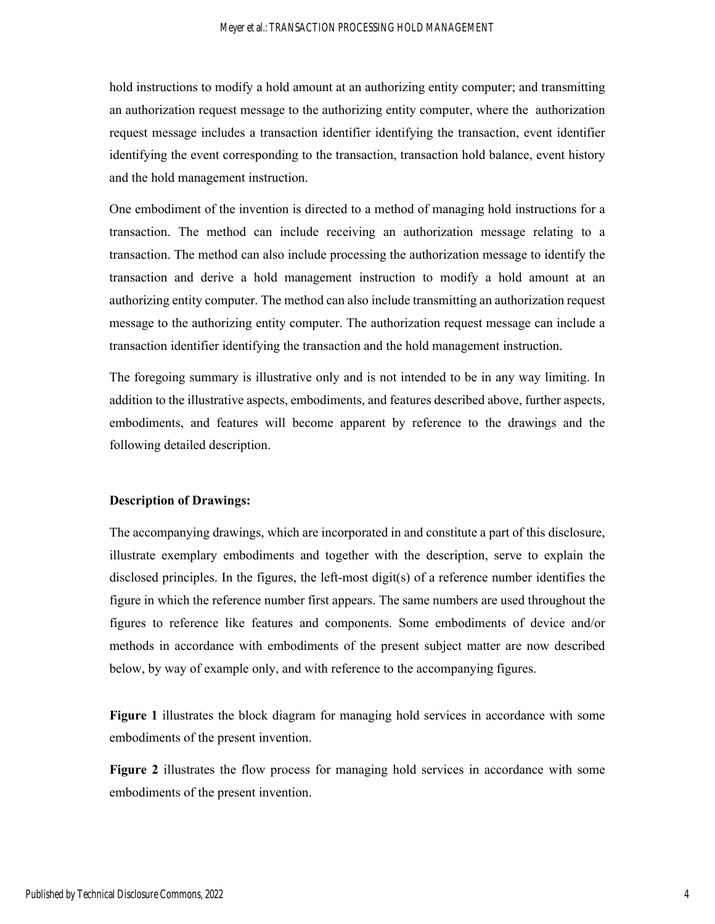hold instructions to modify a hold amount at an authorizing entity computer; and transmitting an authorization request message to the authorizing entity computer, where the authorization request message includes a transaction identifier identifying the transaction, event identifier identifying the event corresponding to the transaction, transaction hold balance, event history and the hold management instruction.

One embodiment of the invention is directed to a method of managing hold instructions for a transaction. The method can include receiving an authorization message relating to a transaction. The method can also include processing the authorization message to identify the transaction and derive a hold management instruction to modify a hold amount at an authorizing entity computer. The method can also include transmitting an authorization request message to the authorizing entity computer. The authorization request message can include a transaction identifier identifying the transaction and the hold management instruction.

The foregoing summary is illustrative only and is not intended to be in any way limiting. In addition to the illustrative aspects, embodiments, and features described above, further aspects, embodiments, and features will become apparent by reference to the drawings and the following detailed description.

### **Description of Drawings:**

The accompanying drawings, which are incorporated in and constitute a part of this disclosure, illustrate exemplary embodiments and together with the description, serve to explain the disclosed principles. In the figures, the left-most digit(s) of a reference number identifies the figure in which the reference number first appears. The same numbers are used throughout the figures to reference like features and components. Some embodiments of device and/or methods in accordance with embodiments of the present subject matter are now described below, by way of example only, and with reference to the accompanying figures.

**Figure 1** illustrates the block diagram for managing hold services in accordance with some embodiments of the present invention.

**Figure 2** illustrates the flow process for managing hold services in accordance with some embodiments of the present invention.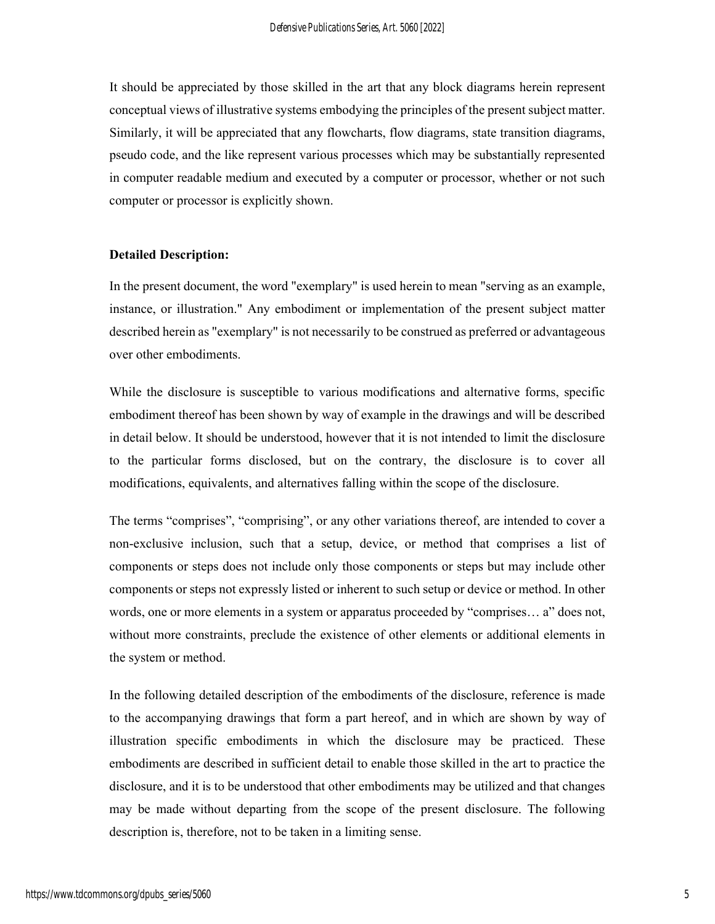It should be appreciated by those skilled in the art that any block diagrams herein represent conceptual views of illustrative systems embodying the principles of the present subject matter. Similarly, it will be appreciated that any flowcharts, flow diagrams, state transition diagrams, pseudo code, and the like represent various processes which may be substantially represented in computer readable medium and executed by a computer or processor, whether or not such computer or processor is explicitly shown.

### **Detailed Description:**

In the present document, the word "exemplary" is used herein to mean "serving as an example, instance, or illustration." Any embodiment or implementation of the present subject matter described herein as "exemplary" is not necessarily to be construed as preferred or advantageous over other embodiments.

While the disclosure is susceptible to various modifications and alternative forms, specific embodiment thereof has been shown by way of example in the drawings and will be described in detail below. It should be understood, however that it is not intended to limit the disclosure to the particular forms disclosed, but on the contrary, the disclosure is to cover all modifications, equivalents, and alternatives falling within the scope of the disclosure.

The terms "comprises", "comprising", or any other variations thereof, are intended to cover a non-exclusive inclusion, such that a setup, device, or method that comprises a list of components or steps does not include only those components or steps but may include other components or steps not expressly listed or inherent to such setup or device or method. In other words, one or more elements in a system or apparatus proceeded by "comprises… a" does not, without more constraints, preclude the existence of other elements or additional elements in the system or method.

In the following detailed description of the embodiments of the disclosure, reference is made to the accompanying drawings that form a part hereof, and in which are shown by way of illustration specific embodiments in which the disclosure may be practiced. These embodiments are described in sufficient detail to enable those skilled in the art to practice the disclosure, and it is to be understood that other embodiments may be utilized and that changes may be made without departing from the scope of the present disclosure. The following description is, therefore, not to be taken in a limiting sense.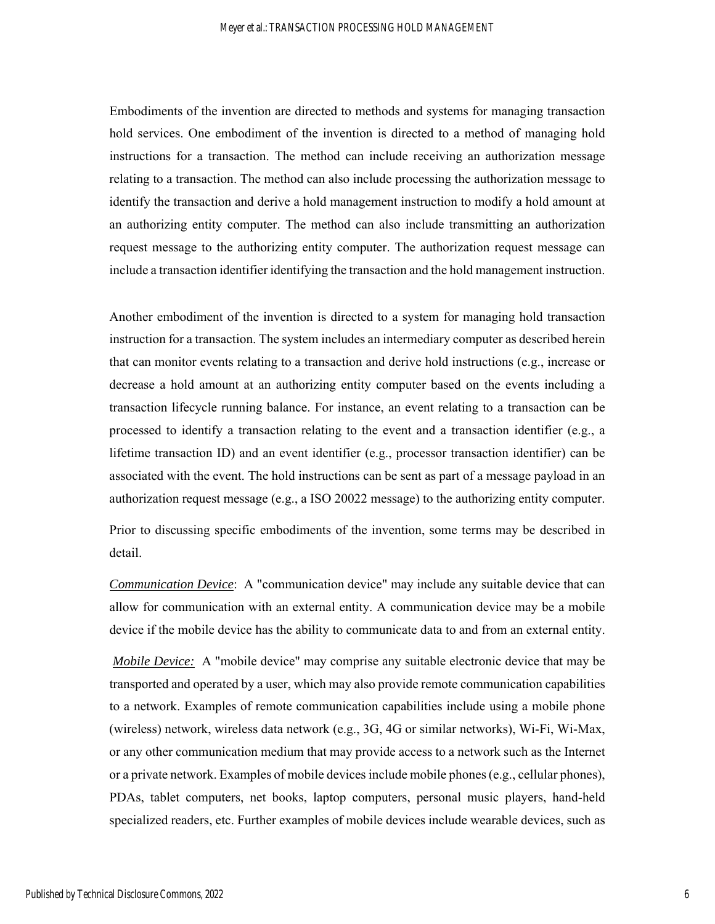Embodiments of the invention are directed to methods and systems for managing transaction hold services. One embodiment of the invention is directed to a method of managing hold instructions for a transaction. The method can include receiving an authorization message relating to a transaction. The method can also include processing the authorization message to identify the transaction and derive a hold management instruction to modify a hold amount at an authorizing entity computer. The method can also include transmitting an authorization request message to the authorizing entity computer. The authorization request message can include a transaction identifier identifying the transaction and the hold management instruction.

Another embodiment of the invention is directed to a system for managing hold transaction instruction for a transaction. The system includes an intermediary computer as described herein that can monitor events relating to a transaction and derive hold instructions (e.g., increase or decrease a hold amount at an authorizing entity computer based on the events including a transaction lifecycle running balance. For instance, an event relating to a transaction can be processed to identify a transaction relating to the event and a transaction identifier (e.g., a lifetime transaction ID) and an event identifier (e.g., processor transaction identifier) can be associated with the event. The hold instructions can be sent as part of a message payload in an authorization request message (e.g., a ISO 20022 message) to the authorizing entity computer.

Prior to discussing specific embodiments of the invention, some terms may be described in detail.

*Communication Device*: A "communication device" may include any suitable device that can allow for communication with an external entity. A communication device may be a mobile device if the mobile device has the ability to communicate data to and from an external entity.

*Mobile Device:* A "mobile device" may comprise any suitable electronic device that may be transported and operated by a user, which may also provide remote communication capabilities to a network. Examples of remote communication capabilities include using a mobile phone (wireless) network, wireless data network (e.g., 3G, 4G or similar networks), Wi-Fi, Wi-Max, or any other communication medium that may provide access to a network such as the Internet or a private network. Examples of mobile devices include mobile phones (e.g., cellular phones), PDAs, tablet computers, net books, laptop computers, personal music players, hand-held specialized readers, etc. Further examples of mobile devices include wearable devices, such as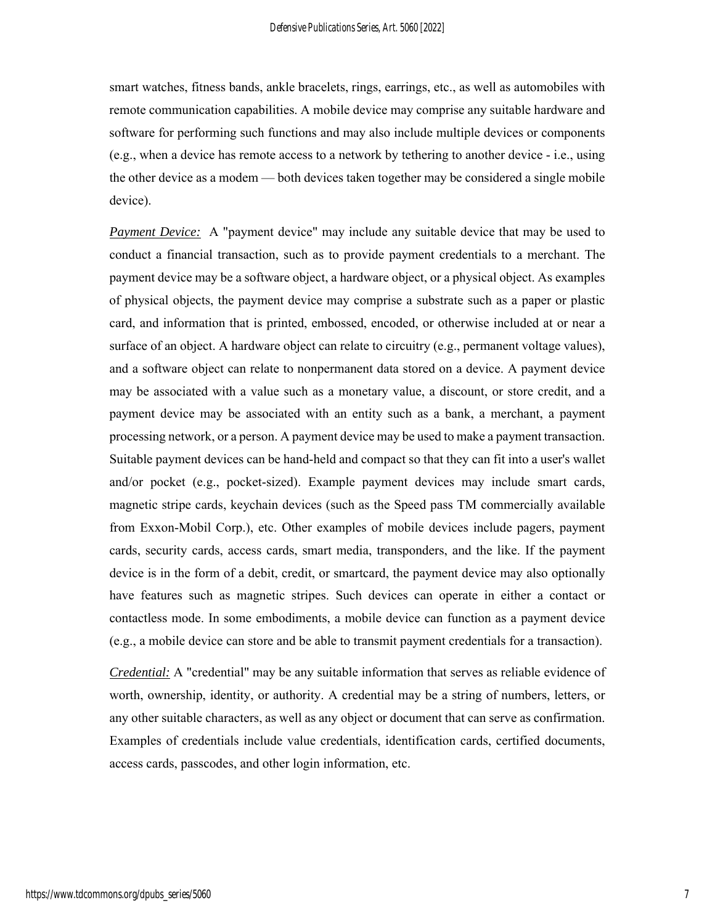smart watches, fitness bands, ankle bracelets, rings, earrings, etc., as well as automobiles with remote communication capabilities. A mobile device may comprise any suitable hardware and software for performing such functions and may also include multiple devices or components (e.g., when a device has remote access to a network by tethering to another device - i.e., using the other device as a modem — both devices taken together may be considered a single mobile device).

*Payment Device:* A "payment device" may include any suitable device that may be used to conduct a financial transaction, such as to provide payment credentials to a merchant. The payment device may be a software object, a hardware object, or a physical object. As examples of physical objects, the payment device may comprise a substrate such as a paper or plastic card, and information that is printed, embossed, encoded, or otherwise included at or near a surface of an object. A hardware object can relate to circuitry (e.g., permanent voltage values), and a software object can relate to nonpermanent data stored on a device. A payment device may be associated with a value such as a monetary value, a discount, or store credit, and a payment device may be associated with an entity such as a bank, a merchant, a payment processing network, or a person. A payment device may be used to make a payment transaction. Suitable payment devices can be hand-held and compact so that they can fit into a user's wallet and/or pocket (e.g., pocket-sized). Example payment devices may include smart cards, magnetic stripe cards, keychain devices (such as the Speed pass TM commercially available from Exxon-Mobil Corp.), etc. Other examples of mobile devices include pagers, payment cards, security cards, access cards, smart media, transponders, and the like. If the payment device is in the form of a debit, credit, or smartcard, the payment device may also optionally have features such as magnetic stripes. Such devices can operate in either a contact or contactless mode. In some embodiments, a mobile device can function as a payment device (e.g., a mobile device can store and be able to transmit payment credentials for a transaction).

*Credential:* A "credential" may be any suitable information that serves as reliable evidence of worth, ownership, identity, or authority. A credential may be a string of numbers, letters, or any other suitable characters, as well as any object or document that can serve as confirmation. Examples of credentials include value credentials, identification cards, certified documents, access cards, passcodes, and other login information, etc.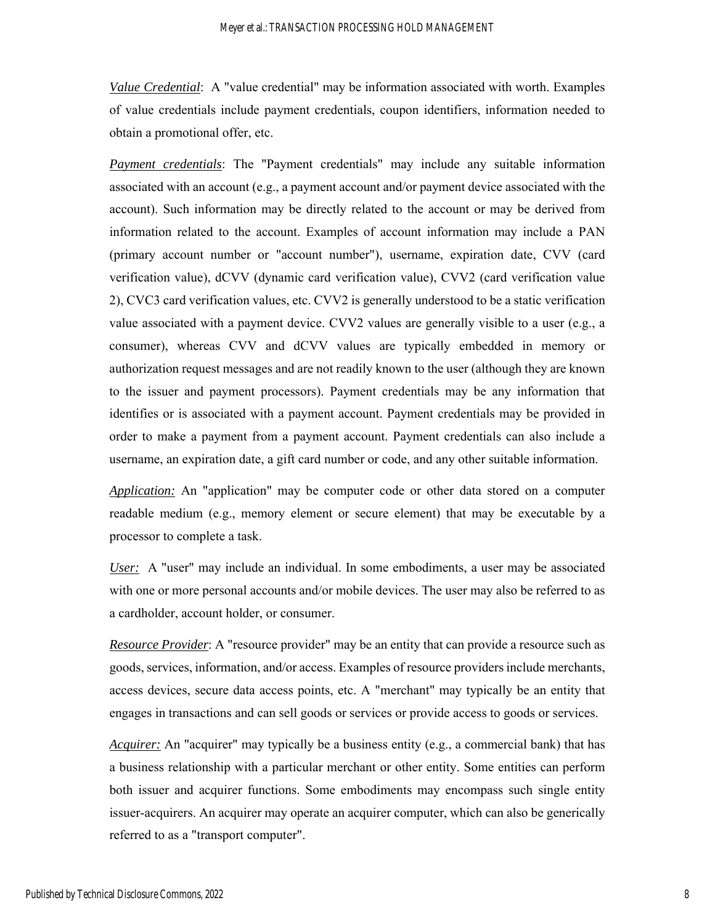*Value Credential*: A "value credential" may be information associated with worth. Examples of value credentials include payment credentials, coupon identifiers, information needed to obtain a promotional offer, etc.

*Payment credentials*: The "Payment credentials" may include any suitable information associated with an account (e.g., a payment account and/or payment device associated with the account). Such information may be directly related to the account or may be derived from information related to the account. Examples of account information may include a PAN (primary account number or "account number"), username, expiration date, CVV (card verification value), dCVV (dynamic card verification value), CVV2 (card verification value 2), CVC3 card verification values, etc. CVV2 is generally understood to be a static verification value associated with a payment device. CVV2 values are generally visible to a user (e.g., a consumer), whereas CVV and dCVV values are typically embedded in memory or authorization request messages and are not readily known to the user (although they are known to the issuer and payment processors). Payment credentials may be any information that identifies or is associated with a payment account. Payment credentials may be provided in order to make a payment from a payment account. Payment credentials can also include a username, an expiration date, a gift card number or code, and any other suitable information.

*Application:* An "application" may be computer code or other data stored on a computer readable medium (e.g., memory element or secure element) that may be executable by a processor to complete a task.

*User:* A "user" may include an individual. In some embodiments, a user may be associated with one or more personal accounts and/or mobile devices. The user may also be referred to as a cardholder, account holder, or consumer.

*Resource Provider*: A "resource provider" may be an entity that can provide a resource such as goods, services, information, and/or access. Examples of resource providers include merchants, access devices, secure data access points, etc. A "merchant" may typically be an entity that engages in transactions and can sell goods or services or provide access to goods or services.

*Acquirer:* An "acquirer" may typically be a business entity (e.g., a commercial bank) that has a business relationship with a particular merchant or other entity. Some entities can perform both issuer and acquirer functions. Some embodiments may encompass such single entity issuer-acquirers. An acquirer may operate an acquirer computer, which can also be generically referred to as a "transport computer".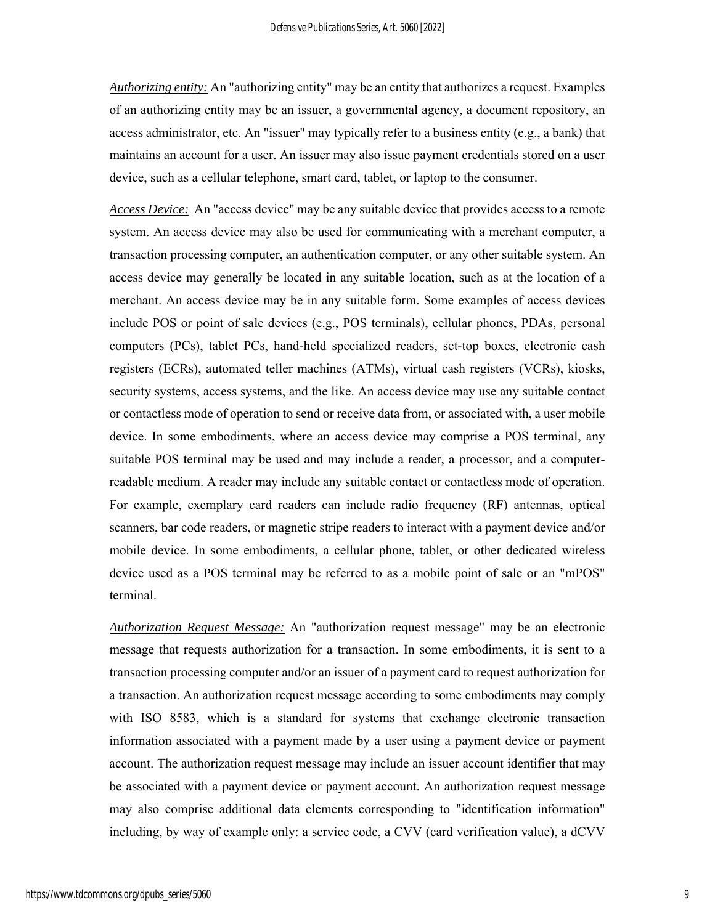*Authorizing entity:* An "authorizing entity" may be an entity that authorizes a request. Examples of an authorizing entity may be an issuer, a governmental agency, a document repository, an access administrator, etc. An "issuer" may typically refer to a business entity (e.g., a bank) that maintains an account for a user. An issuer may also issue payment credentials stored on a user device, such as a cellular telephone, smart card, tablet, or laptop to the consumer.

*Access Device:* An "access device" may be any suitable device that provides access to a remote system. An access device may also be used for communicating with a merchant computer, a transaction processing computer, an authentication computer, or any other suitable system. An access device may generally be located in any suitable location, such as at the location of a merchant. An access device may be in any suitable form. Some examples of access devices include POS or point of sale devices (e.g., POS terminals), cellular phones, PDAs, personal computers (PCs), tablet PCs, hand-held specialized readers, set-top boxes, electronic cash registers (ECRs), automated teller machines (ATMs), virtual cash registers (VCRs), kiosks, security systems, access systems, and the like. An access device may use any suitable contact or contactless mode of operation to send or receive data from, or associated with, a user mobile device. In some embodiments, where an access device may comprise a POS terminal, any suitable POS terminal may be used and may include a reader, a processor, and a computerreadable medium. A reader may include any suitable contact or contactless mode of operation. For example, exemplary card readers can include radio frequency (RF) antennas, optical scanners, bar code readers, or magnetic stripe readers to interact with a payment device and/or mobile device. In some embodiments, a cellular phone, tablet, or other dedicated wireless device used as a POS terminal may be referred to as a mobile point of sale or an "mPOS" terminal.

*Authorization Request Message:* An "authorization request message" may be an electronic message that requests authorization for a transaction. In some embodiments, it is sent to a transaction processing computer and/or an issuer of a payment card to request authorization for a transaction. An authorization request message according to some embodiments may comply with ISO 8583, which is a standard for systems that exchange electronic transaction information associated with a payment made by a user using a payment device or payment account. The authorization request message may include an issuer account identifier that may be associated with a payment device or payment account. An authorization request message may also comprise additional data elements corresponding to "identification information" including, by way of example only: a service code, a CVV (card verification value), a dCVV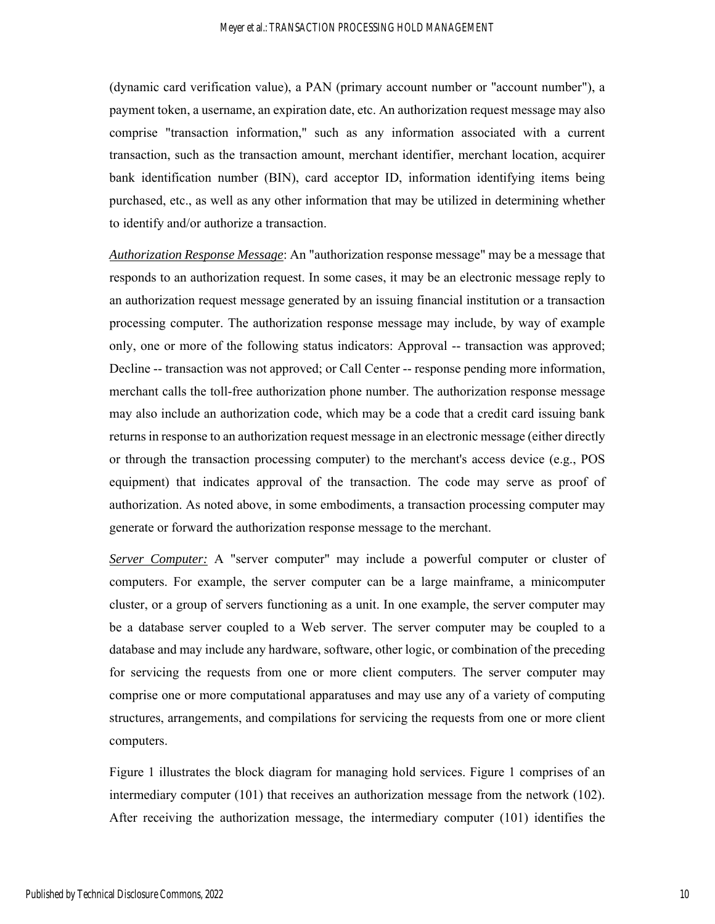(dynamic card verification value), a PAN (primary account number or "account number"), a payment token, a username, an expiration date, etc. An authorization request message may also comprise "transaction information," such as any information associated with a current transaction, such as the transaction amount, merchant identifier, merchant location, acquirer bank identification number (BIN), card acceptor ID, information identifying items being purchased, etc., as well as any other information that may be utilized in determining whether to identify and/or authorize a transaction.

*Authorization Response Message*: An "authorization response message" may be a message that responds to an authorization request. In some cases, it may be an electronic message reply to an authorization request message generated by an issuing financial institution or a transaction processing computer. The authorization response message may include, by way of example only, one or more of the following status indicators: Approval -- transaction was approved; Decline -- transaction was not approved; or Call Center -- response pending more information, merchant calls the toll-free authorization phone number. The authorization response message may also include an authorization code, which may be a code that a credit card issuing bank returns in response to an authorization request message in an electronic message (either directly or through the transaction processing computer) to the merchant's access device (e.g., POS equipment) that indicates approval of the transaction. The code may serve as proof of authorization. As noted above, in some embodiments, a transaction processing computer may generate or forward the authorization response message to the merchant.

*Server Computer:* A "server computer" may include a powerful computer or cluster of computers. For example, the server computer can be a large mainframe, a minicomputer cluster, or a group of servers functioning as a unit. In one example, the server computer may be a database server coupled to a Web server. The server computer may be coupled to a database and may include any hardware, software, other logic, or combination of the preceding for servicing the requests from one or more client computers. The server computer may comprise one or more computational apparatuses and may use any of a variety of computing structures, arrangements, and compilations for servicing the requests from one or more client computers.

Figure 1 illustrates the block diagram for managing hold services. Figure 1 comprises of an intermediary computer (101) that receives an authorization message from the network (102). After receiving the authorization message, the intermediary computer (101) identifies the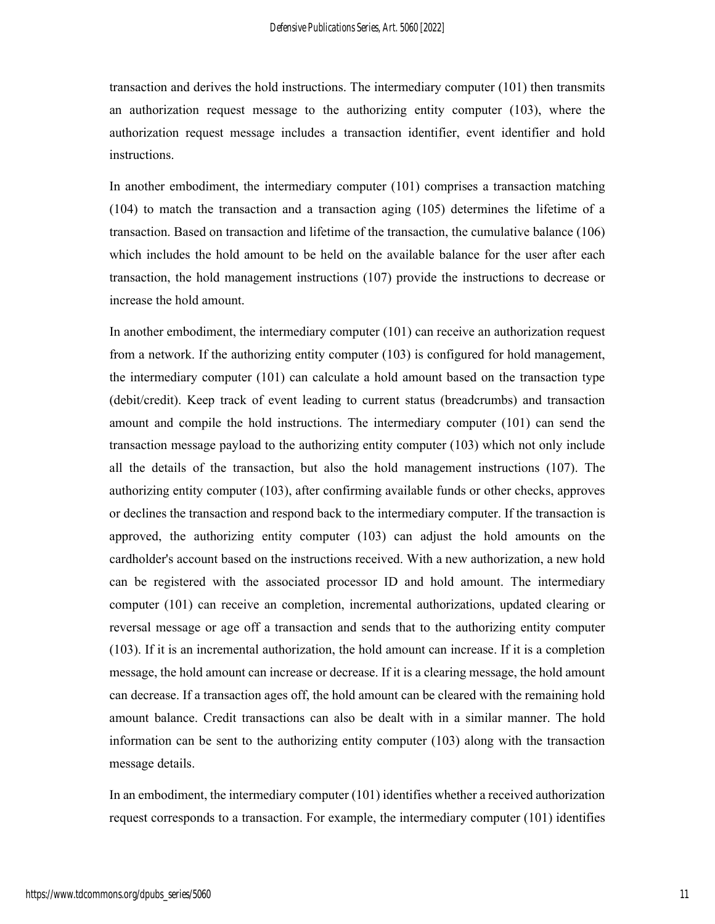transaction and derives the hold instructions. The intermediary computer (101) then transmits an authorization request message to the authorizing entity computer (103), where the authorization request message includes a transaction identifier, event identifier and hold instructions.

In another embodiment, the intermediary computer (101) comprises a transaction matching (104) to match the transaction and a transaction aging (105) determines the lifetime of a transaction. Based on transaction and lifetime of the transaction, the cumulative balance (106) which includes the hold amount to be held on the available balance for the user after each transaction, the hold management instructions (107) provide the instructions to decrease or increase the hold amount.

In another embodiment, the intermediary computer (101) can receive an authorization request from a network. If the authorizing entity computer (103) is configured for hold management, the intermediary computer (101) can calculate a hold amount based on the transaction type (debit/credit). Keep track of event leading to current status (breadcrumbs) and transaction amount and compile the hold instructions. The intermediary computer (101) can send the transaction message payload to the authorizing entity computer (103) which not only include all the details of the transaction, but also the hold management instructions (107). The authorizing entity computer (103), after confirming available funds or other checks, approves or declines the transaction and respond back to the intermediary computer. If the transaction is approved, the authorizing entity computer (103) can adjust the hold amounts on the cardholder's account based on the instructions received. With a new authorization, a new hold can be registered with the associated processor ID and hold amount. The intermediary computer (101) can receive an completion, incremental authorizations, updated clearing or reversal message or age off a transaction and sends that to the authorizing entity computer (103). If it is an incremental authorization, the hold amount can increase. If it is a completion message, the hold amount can increase or decrease. If it is a clearing message, the hold amount can decrease. If a transaction ages off, the hold amount can be cleared with the remaining hold amount balance. Credit transactions can also be dealt with in a similar manner. The hold information can be sent to the authorizing entity computer (103) along with the transaction message details.

In an embodiment, the intermediary computer (101) identifies whether a received authorization request corresponds to a transaction. For example, the intermediary computer (101) identifies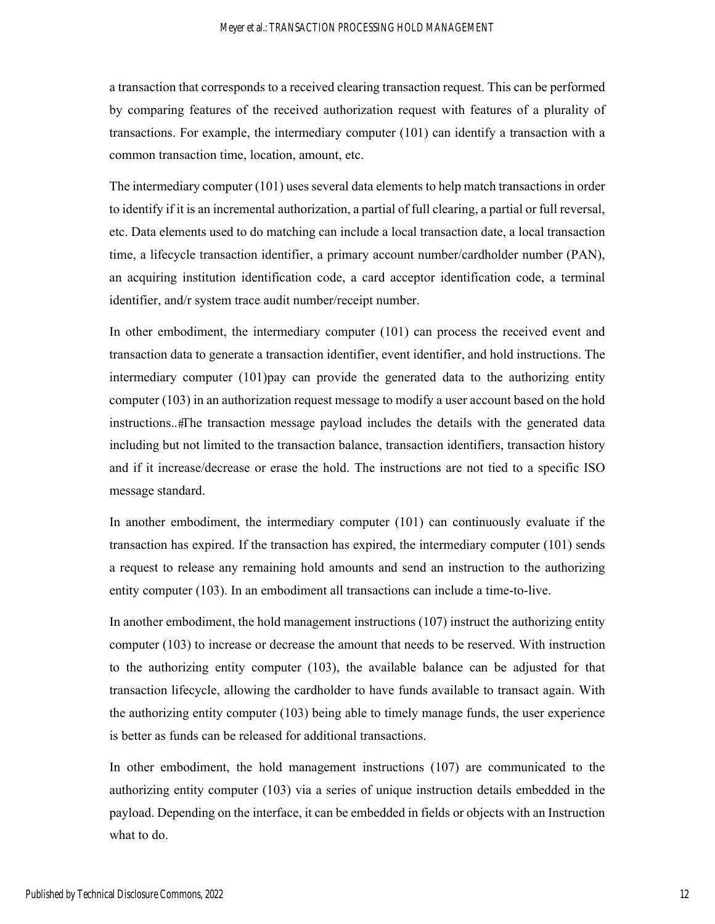a transaction that corresponds to a received clearing transaction request. This can be performed by comparing features of the received authorization request with features of a plurality of transactions. For example, the intermediary computer (101) can identify a transaction with a common transaction time, location, amount, etc.

The intermediary computer (101) uses several data elements to help match transactions in order to identify if it is an incremental authorization, a partial of full clearing, a partial or full reversal, etc. Data elements used to do matching can include a local transaction date, a local transaction time, a lifecycle transaction identifier, a primary account number/cardholder number (PAN), an acquiring institution identification code, a card acceptor identification code, a terminal identifier, and/r system trace audit number/receipt number.

In other embodiment, the intermediary computer (101) can process the received event and transaction data to generate a transaction identifier, event identifier, and hold instructions. The intermediary computer (101)pay can provide the generated data to the authorizing entity computer (103) in an authorization request message to modify a user account based on the hold instructions..#The transaction message payload includes the details with the generated data including but not limited to the transaction balance, transaction identifiers, transaction history and if it increase/decrease or erase the hold. The instructions are not tied to a specific ISO message standard.

In another embodiment, the intermediary computer (101) can continuously evaluate if the transaction has expired. If the transaction has expired, the intermediary computer (101) sends a request to release any remaining hold amounts and send an instruction to the authorizing entity computer (103). In an embodiment all transactions can include a time-to-live.

In another embodiment, the hold management instructions (107) instruct the authorizing entity computer (103) to increase or decrease the amount that needs to be reserved. With instruction to the authorizing entity computer (103), the available balance can be adjusted for that transaction lifecycle, allowing the cardholder to have funds available to transact again. With the authorizing entity computer (103) being able to timely manage funds, the user experience is better as funds can be released for additional transactions.

In other embodiment, the hold management instructions (107) are communicated to the authorizing entity computer (103) via a series of unique instruction details embedded in the payload. Depending on the interface, it can be embedded in fields or objects with an Instruction what to do.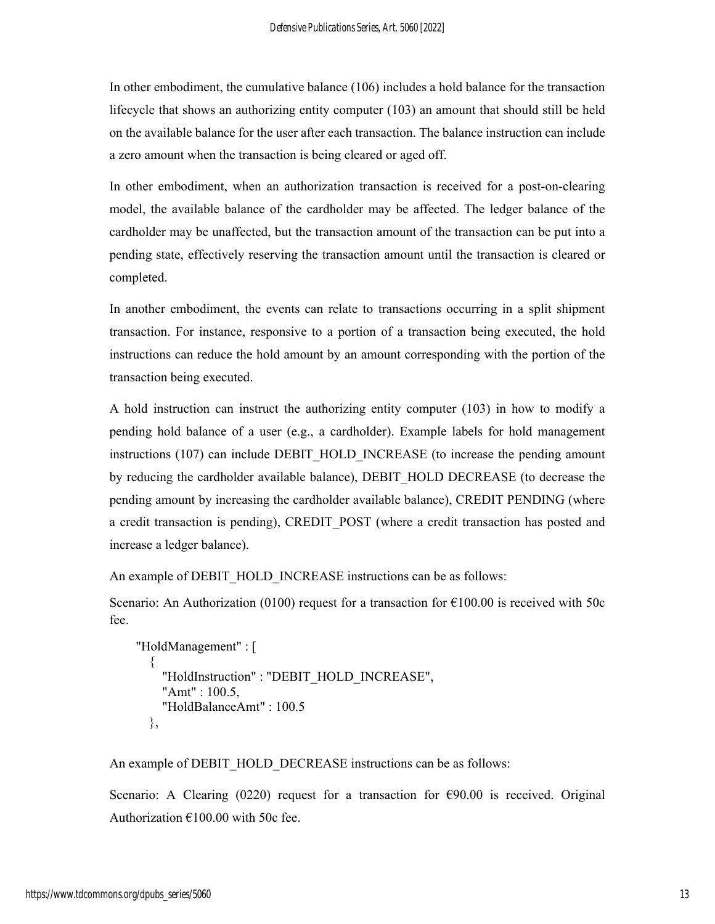In other embodiment, the cumulative balance (106) includes a hold balance for the transaction lifecycle that shows an authorizing entity computer (103) an amount that should still be held on the available balance for the user after each transaction. The balance instruction can include a zero amount when the transaction is being cleared or aged off.

In other embodiment, when an authorization transaction is received for a post-on-clearing model, the available balance of the cardholder may be affected. The ledger balance of the cardholder may be unaffected, but the transaction amount of the transaction can be put into a pending state, effectively reserving the transaction amount until the transaction is cleared or completed.

In another embodiment, the events can relate to transactions occurring in a split shipment transaction. For instance, responsive to a portion of a transaction being executed, the hold instructions can reduce the hold amount by an amount corresponding with the portion of the transaction being executed.

A hold instruction can instruct the authorizing entity computer (103) in how to modify a pending hold balance of a user (e.g., a cardholder). Example labels for hold management instructions (107) can include DEBIT\_HOLD\_INCREASE (to increase the pending amount by reducing the cardholder available balance), DEBIT\_HOLD DECREASE (to decrease the pending amount by increasing the cardholder available balance), CREDIT PENDING (where a credit transaction is pending), CREDIT POST (where a credit transaction has posted and increase a ledger balance).

An example of DEBIT\_HOLD\_INCREASE instructions can be as follows:

Scenario: An Authorization (0100) request for a transaction for  $\epsilon$ 100.00 is received with 50c fee.

```
 "HoldManagement" : [ 
\left\{\begin{array}{c} \end{array}\right\} "HoldInstruction" : "DEBIT_HOLD_INCREASE", 
             "Amt" : 100.5, 
             "HoldBalanceAmt" : 100.5 
          },
```
An example of DEBIT\_HOLD\_DECREASE instructions can be as follows:

Scenario: A Clearing  $(0220)$  request for a transaction for  $\epsilon$ 90.00 is received. Original Authorization  $€100.00$  with 50c fee.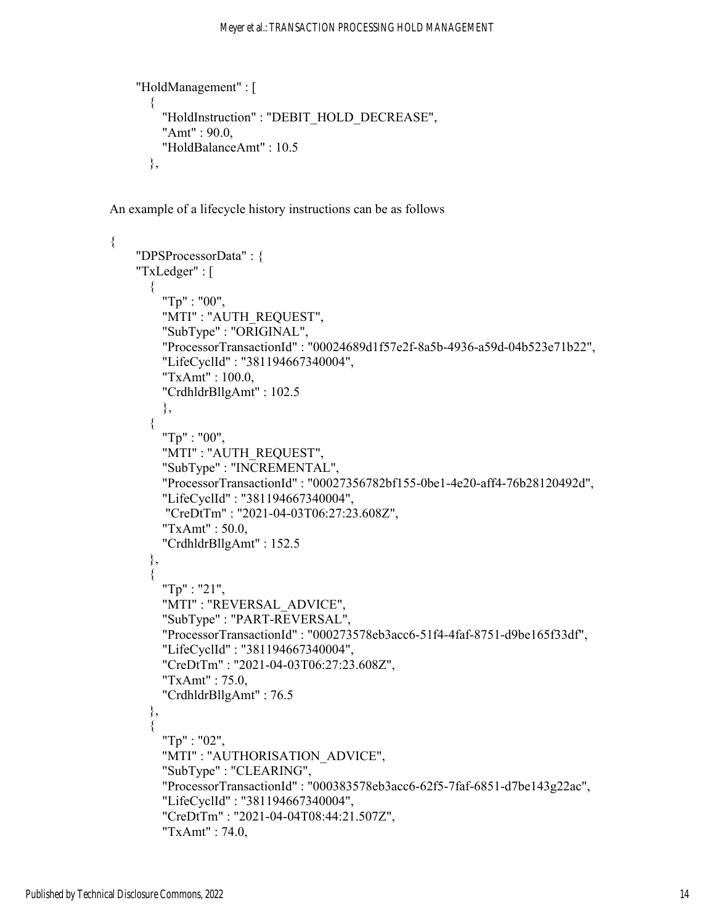```
 "HoldManagement" : [ 
\{ "HoldInstruction" : "DEBIT_HOLD_DECREASE", 
         "Amt" : 90.0, 
         "HoldBalanceAmt" : 10.5 
       },
```
An example of a lifecycle history instructions can be as follows

```
{ 
      "DPSProcessorData" : { 
      "TxLedger" : [ 
        { 
          "Tp" : "00", 
           "MTI" : "AUTH_REQUEST", 
           "SubType" : "ORIGINAL", 
           "ProcessorTransactionId" : "00024689d1f57e2f-8a5b-4936-a59d-04b523e71b22", 
           "LifeCyclId" : "381194667340004", 
           "TxAmt" : 100.0, 
           "CrdhldrBllgAmt" : 102.5 
           }, 
\left\{\begin{array}{c} \end{array}\right\} "Tp" : "00", 
           "MTI" : "AUTH_REQUEST", 
           "SubType" : "INCREMENTAL", 
           "ProcessorTransactionId" : "00027356782bf155-0be1-4e20-aff4-76b28120492d", 
           "LifeCyclId" : "381194667340004", 
           "CreDtTm" : "2021-04-03T06:27:23.608Z", 
           "TxAmt" : 50.0, 
           "CrdhldrBllgAmt" : 152.5 
        }, 
\left\{\begin{array}{c} \end{array}\right\} "Tp" : "21", 
           "MTI" : "REVERSAL_ADVICE", 
           "SubType" : "PART-REVERSAL", 
           "ProcessorTransactionId" : "000273578eb3acc6-51f4-4faf-8751-d9be165f33df", 
           "LifeCyclId" : "381194667340004", 
           "CreDtTm" : "2021-04-03T06:27:23.608Z", 
           "TxAmt" : 75.0, 
           "CrdhldrBllgAmt" : 76.5 
        }, 
\{ "Tp" : "02", 
           "MTI" : "AUTHORISATION_ADVICE", 
           "SubType" : "CLEARING", 
           "ProcessorTransactionId" : "000383578eb3acc6-62f5-7faf-6851-d7be143g22ac", 
           "LifeCyclId" : "381194667340004", 
           "CreDtTm" : "2021-04-04T08:44:21.507Z", 
           "TxAmt" : 74.0,
```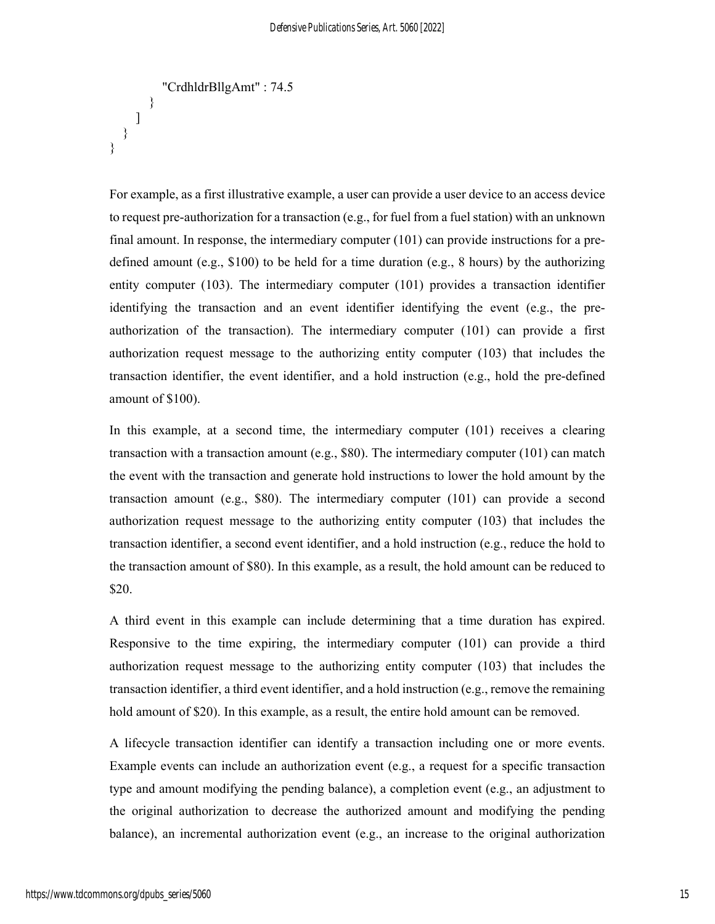```
 "CrdhldrBllgAmt" : 74.5 
          } 
      ] 
    } 
}
```
For example, as a first illustrative example, a user can provide a user device to an access device to request pre-authorization for a transaction (e.g., for fuel from a fuel station) with an unknown final amount. In response, the intermediary computer (101) can provide instructions for a predefined amount (e.g., \$100) to be held for a time duration (e.g., 8 hours) by the authorizing entity computer (103). The intermediary computer (101) provides a transaction identifier identifying the transaction and an event identifier identifying the event (e.g., the preauthorization of the transaction). The intermediary computer (101) can provide a first authorization request message to the authorizing entity computer (103) that includes the transaction identifier, the event identifier, and a hold instruction (e.g., hold the pre-defined amount of \$100).

In this example, at a second time, the intermediary computer (101) receives a clearing transaction with a transaction amount (e.g., \$80). The intermediary computer (101) can match the event with the transaction and generate hold instructions to lower the hold amount by the transaction amount (e.g., \$80). The intermediary computer (101) can provide a second authorization request message to the authorizing entity computer (103) that includes the transaction identifier, a second event identifier, and a hold instruction (e.g., reduce the hold to the transaction amount of \$80). In this example, as a result, the hold amount can be reduced to \$20.

A third event in this example can include determining that a time duration has expired. Responsive to the time expiring, the intermediary computer (101) can provide a third authorization request message to the authorizing entity computer (103) that includes the transaction identifier, a third event identifier, and a hold instruction (e.g., remove the remaining hold amount of \$20). In this example, as a result, the entire hold amount can be removed.

A lifecycle transaction identifier can identify a transaction including one or more events. Example events can include an authorization event (e.g., a request for a specific transaction type and amount modifying the pending balance), a completion event (e.g., an adjustment to the original authorization to decrease the authorized amount and modifying the pending balance), an incremental authorization event (e.g., an increase to the original authorization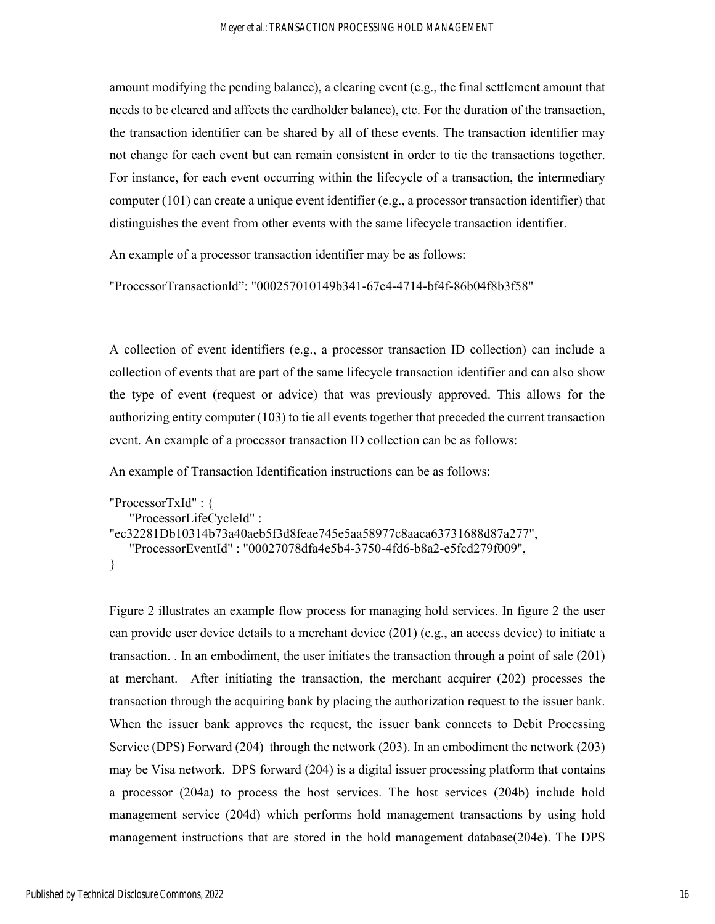amount modifying the pending balance), a clearing event (e.g., the final settlement amount that needs to be cleared and affects the cardholder balance), etc. For the duration of the transaction, the transaction identifier can be shared by all of these events. The transaction identifier may not change for each event but can remain consistent in order to tie the transactions together. For instance, for each event occurring within the lifecycle of a transaction, the intermediary computer (101) can create a unique event identifier (e.g., a processor transaction identifier) that distinguishes the event from other events with the same lifecycle transaction identifier.

An example of a processor transaction identifier may be as follows:

"ProcessorTransactionld": "000257010149b341-67e4-4714-bf4f-86b04f8b3f58"

A collection of event identifiers (e.g., a processor transaction ID collection) can include a collection of events that are part of the same lifecycle transaction identifier and can also show the type of event (request or advice) that was previously approved. This allows for the authorizing entity computer (103) to tie all events together that preceded the current transaction event. An example of a processor transaction ID collection can be as follows:

An example of Transaction Identification instructions can be as follows:

```
"ProcessorTxId" : { 
    "ProcessorLifeCycleId" : 
"ec32281Db10314b73a40aeb5f3d8feae745e5aa58977c8aaca63731688d87a277", 
    "ProcessorEventId" : "00027078dfa4e5b4-3750-4fd6-b8a2-e5fcd279f009", 
}
```
Figure 2 illustrates an example flow process for managing hold services. In figure 2 the user can provide user device details to a merchant device (201) (e.g., an access device) to initiate a transaction. . In an embodiment, the user initiates the transaction through a point of sale (201) at merchant. After initiating the transaction, the merchant acquirer (202) processes the transaction through the acquiring bank by placing the authorization request to the issuer bank. When the issuer bank approves the request, the issuer bank connects to Debit Processing Service (DPS) Forward (204) through the network (203). In an embodiment the network (203) may be Visa network. DPS forward (204) is a digital issuer processing platform that contains a processor (204a) to process the host services. The host services (204b) include hold management service (204d) which performs hold management transactions by using hold management instructions that are stored in the hold management database(204e). The DPS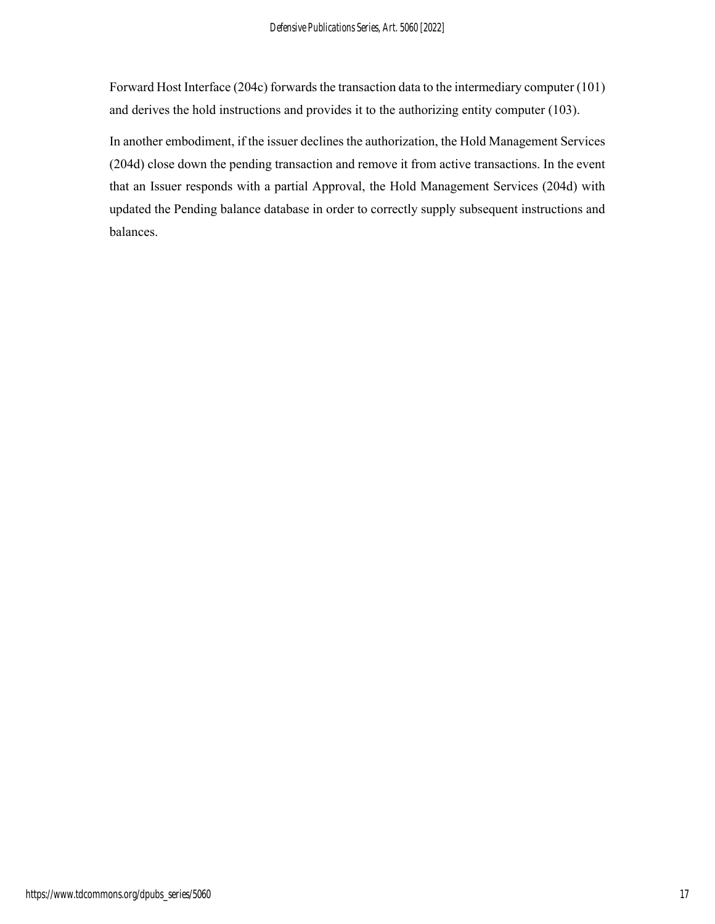Forward Host Interface (204c) forwards the transaction data to the intermediary computer (101) and derives the hold instructions and provides it to the authorizing entity computer (103).

In another embodiment, if the issuer declines the authorization, the Hold Management Services (204d) close down the pending transaction and remove it from active transactions. In the event that an Issuer responds with a partial Approval, the Hold Management Services (204d) with updated the Pending balance database in order to correctly supply subsequent instructions and balances.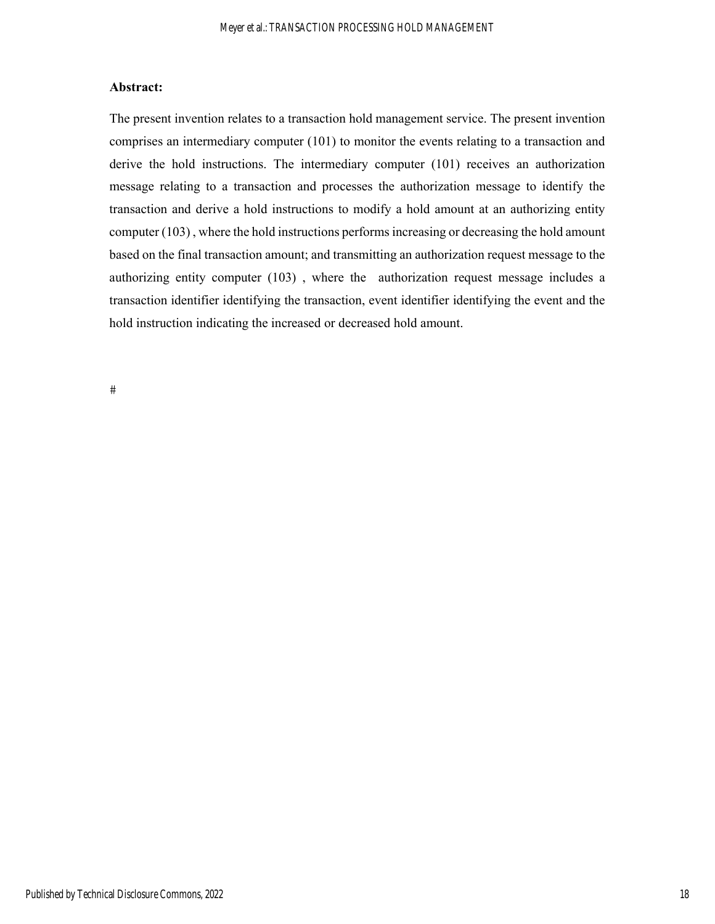#### **Abstract:**

The present invention relates to a transaction hold management service. The present invention comprises an intermediary computer (101) to monitor the events relating to a transaction and derive the hold instructions. The intermediary computer (101) receives an authorization message relating to a transaction and processes the authorization message to identify the transaction and derive a hold instructions to modify a hold amount at an authorizing entity computer (103) , where the hold instructions performs increasing or decreasing the hold amount based on the final transaction amount; and transmitting an authorization request message to the authorizing entity computer (103) , where the authorization request message includes a transaction identifier identifying the transaction, event identifier identifying the event and the hold instruction indicating the increased or decreased hold amount.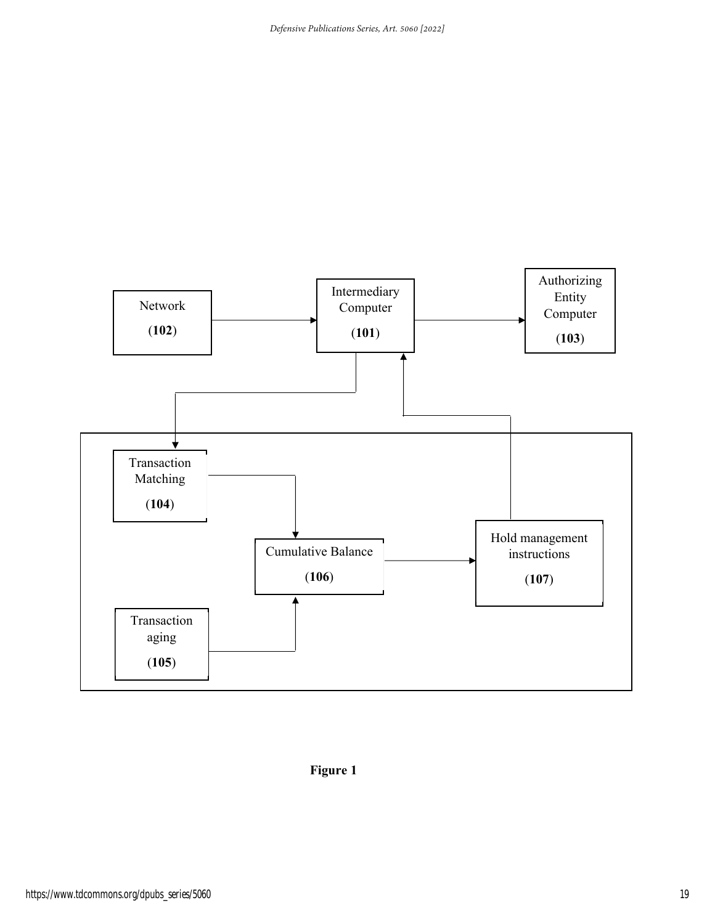